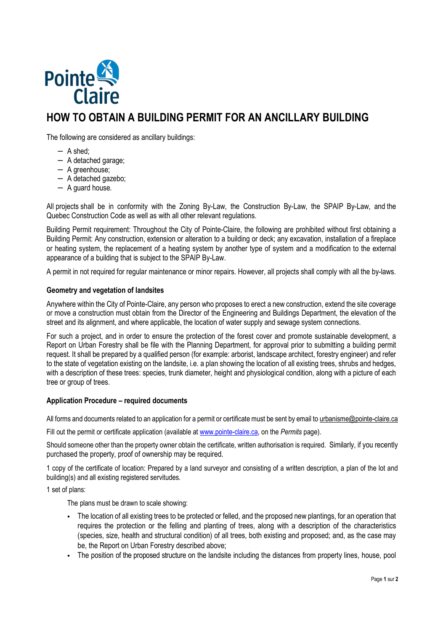

# **HOW TO OBTAIN A BUILDING PERMIT FOR AN ANCILLARY BUILDING**

The following are considered as ancillary buildings:

- − A shed;
- − A detached garage;
- − A greenhouse;
- − A detached gazebo;
- − A guard house.

All projects shall be in conformity with the Zoning By-Law, the Construction By-Law, the SPAIP By-Law, and the Quebec Construction Code as well as with all other relevant regulations.

Building Permit requirement: Throughout the City of Pointe-Claire, the following are prohibited without first obtaining a Building Permit: Any construction, extension or alteration to a building or deck; any excavation, installation of a fireplace or heating system, the replacement of a heating system by another type of system and a modification to the external appearance of a building that is subject to the SPAIP By-Law.

A permit in not required for regular maintenance or minor repairs. However, all projects shall comply with all the by-laws.

## **Geometry and vegetation of landsites**

Anywhere within the City of Pointe-Claire, any person who proposes to erect a new construction, extend the site coverage or move a construction must obtain from the Director of the Engineering and Buildings Department, the elevation of the street and its alignment, and where applicable, the location of water supply and sewage system connections.

For such a project, and in order to ensure the protection of the forest cover and promote sustainable development, a Report on Urban Forestry shall be file with the Planning Department, for approval prior to submitting a building permit request. It shall be prepared by a qualified person (for example: arborist, landscape architect, forestry engineer) and refer to the state of vegetation existing on the landsite, i.e. a plan showing the location of all existing trees, shrubs and hedges, with a description of these trees: species, trunk diameter, height and physiological condition, along with a picture of each tree or group of trees.

## **Application Procedure – required documents**

All forms and documents related to an application for a permit or certificate must be sent by email to urbanisme@pointe-claire.ca

Fill out the permit or certificate application (available at www.pointe-claire.ca, on the *Permits* page).

Should someone other than the property owner obtain the certificate, written authorisation is required. Similarly, if you recently purchased the property, proof of ownership may be required.

1 copy of the certificate of location: Prepared by a land surveyor and consisting of a written description, a plan of the lot and building(s) and all existing registered servitudes.

1 set of plans:

The plans must be drawn to scale showing:

- The location of all existing trees to be protected or felled, and the proposed new plantings, for an operation that requires the protection or the felling and planting of trees, along with a description of the characteristics (species, size, health and structural condition) of all trees, both existing and proposed; and, as the case may be, the Report on Urban Forestry described above;
- The position of the proposed structure on the landsite including the distances from property lines, house, pool